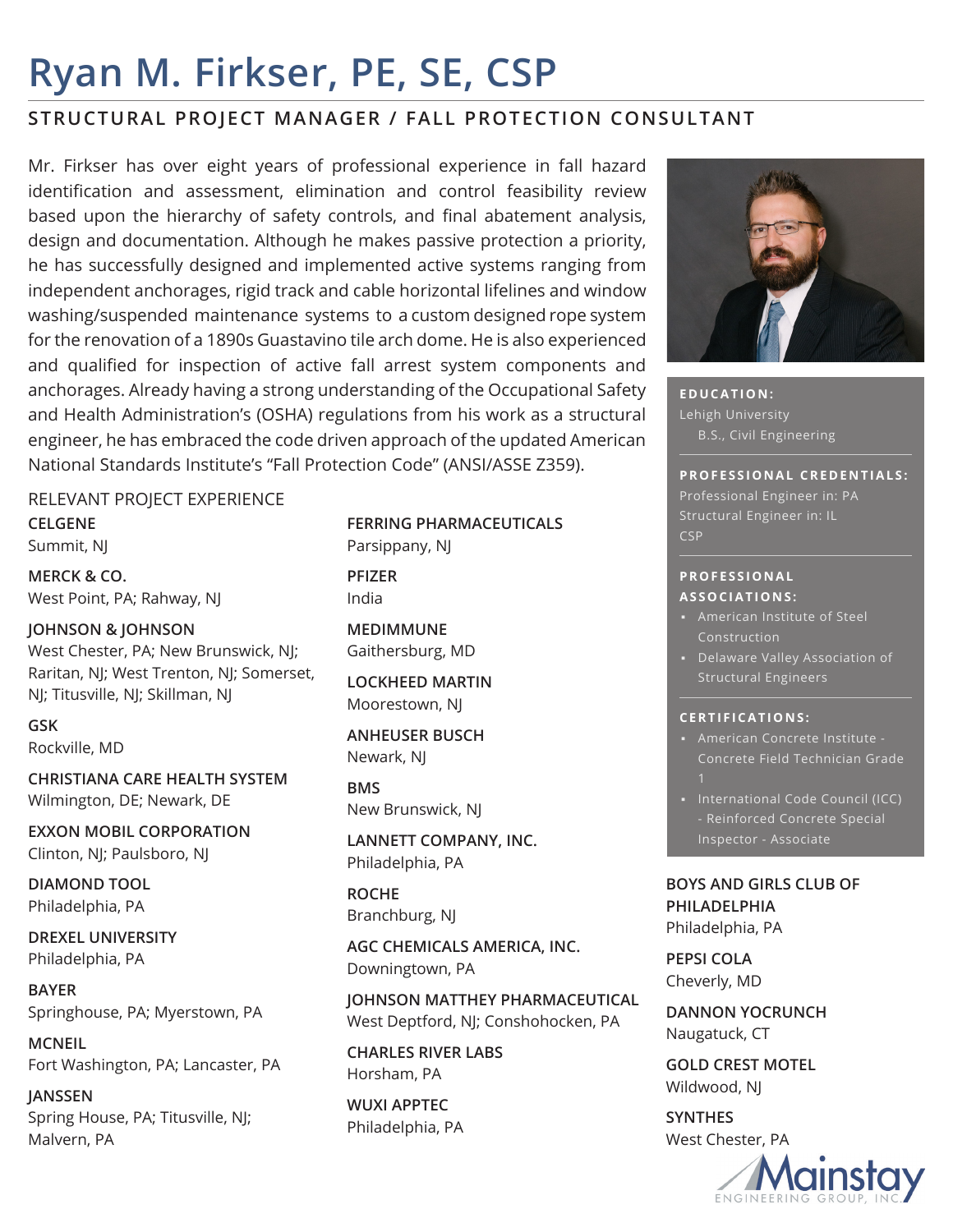# **Ryan M. Firkser, PE, SE, CSP**

## **STRUCTURAL PROJECT MANAGER / FALL PROTECTION CONSULTANT**

Mr. Firkser has over eight years of professional experience in fall hazard identification and assessment, elimination and control feasibility review based upon the hierarchy of safety controls, and final abatement analysis, design and documentation. Although he makes passive protection a priority, he has successfully designed and implemented active systems ranging from independent anchorages, rigid track and cable horizontal lifelines and window washing/suspended maintenance systems to a custom designed rope system for the renovation of a 1890s Guastavino tile arch dome. He is also experienced and qualified for inspection of active fall arrest system components and anchorages. Already having a strong understanding of the Occupational Safety and Health Administration's (OSHA) regulations from his work as a structural engineer, he has embraced the code driven approach of the updated American National Standards Institute's "Fall Protection Code" (ANSI/ASSE Z359).

### RELEVANT PROJECT EXPERIENCE

**CELGENE** Summit, NJ

**MERCK & CO.** West Point, PA; Rahway, NJ

**JOHNSON & JOHNSON** West Chester, PA; New Brunswick, NJ; Raritan, NJ; West Trenton, NJ; Somerset, NJ; Titusville, NJ; Skillman, NJ

**GSK** Rockville, MD

**CHRISTIANA CARE HEALTH SYSTEM** Wilmington, DE; Newark, DE

**EXXON MOBIL CORPORATION** Clinton, NJ; Paulsboro, NJ

**DIAMOND TOOL** Philadelphia, PA

**DREXEL UNIVERSITY** Philadelphia, PA

**BAYER** Springhouse, PA; Myerstown, PA

**MCNEIL** Fort Washington, PA; Lancaster, PA

**JANSSEN** Spring House, PA; Titusville, NJ; Malvern, PA

**FERRING PHARMACEUTICALS** Parsippany, NJ

**PFIZER** India

**MEDIMMUNE** Gaithersburg, MD

**LOCKHEED MARTIN** Moorestown, NJ

**ANHEUSER BUSCH** Newark, NJ

**BMS** New Brunswick, NJ

**LANNETT COMPANY, INC.** Philadelphia, PA

**ROCHE** Branchburg, NJ

**AGC CHEMICALS AMERICA, INC.** Downingtown, PA

**JOHNSON MATTHEY PHARMACEUTICAL**  West Deptford, NJ; Conshohocken, PA

**CHARLES RIVER LABS** Horsham, PA

**WUXI APPTEC** Philadelphia, PA



**EDUCATION:** Lehigh University B.S., Civil Engineering

#### **PROFESSIONAL CREDENTIALS:**

Professional Engineer in: PA Structural Engineer in: IL **CSP** 

#### **P R O F E S S I O N A L ASSOCIATIONS:**

- Construction
- Structural Engineers

#### **CERTIFICATIONS:**

- American Concrete Institute Concrete Field Technician Grade
- International Code Council (ICC) - Reinforced Concrete Special

**BOYS AND GIRLS CLUB OF PHILADELPHIA** Philadelphia, PA

**PEPSI COLA** Cheverly, MD

**DANNON YOCRUNCH** Naugatuck, CT

**GOLD CREST MOTEL** Wildwood, NJ

**SYNTHES** West Chester, PA